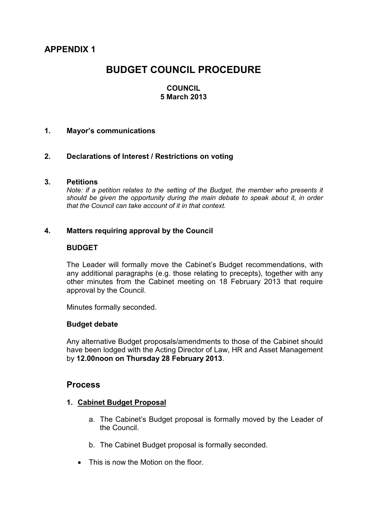**APPENDIX 1** 

# **BUDGET COUNCIL PROCEDURE**

## **COUNCIL 5 March 2013**

## **1. Mayor's communications**

## **2. Declarations of Interest / Restrictions on voting**

#### **3. Petitions**

*Note: if a petition relates to the setting of the Budget, the member who presents it should be given the opportunity during the main debate to speak about it, in order that the Council can take account of it in that context.* 

## **4. Matters requiring approval by the Council**

#### **BUDGET**

The Leader will formally move the Cabinet's Budget recommendations, with any additional paragraphs (e.g. those relating to precepts), together with any other minutes from the Cabinet meeting on 18 February 2013 that require approval by the Council.

Minutes formally seconded.

#### **Budget debate**

Any alternative Budget proposals/amendments to those of the Cabinet should have been lodged with the Acting Director of Law, HR and Asset Management by **12.00noon on Thursday 28 February 2013**.

## **Process**

#### **1. Cabinet Budget Proposal**

- a. The Cabinet's Budget proposal is formally moved by the Leader of the Council.
- b. The Cabinet Budget proposal is formally seconded.
- This is now the Motion on the floor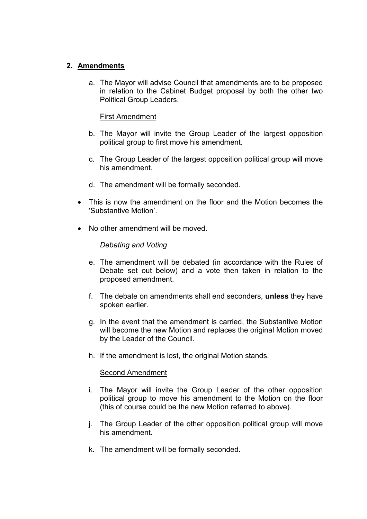# **2. Amendments**

a. The Mayor will advise Council that amendments are to be proposed in relation to the Cabinet Budget proposal by both the other two Political Group Leaders.

# First Amendment

- b. The Mayor will invite the Group Leader of the largest opposition political group to first move his amendment.
- c. The Group Leader of the largest opposition political group will move his amendment.
- d. The amendment will be formally seconded.
- This is now the amendment on the floor and the Motion becomes the 'Substantive Motion'.
- No other amendment will be moved.

# *Debating and Voting*

- e. The amendment will be debated (in accordance with the Rules of Debate set out below) and a vote then taken in relation to the proposed amendment.
- f. The debate on amendments shall end seconders, **unless** they have spoken earlier.
- g. In the event that the amendment is carried, the Substantive Motion will become the new Motion and replaces the original Motion moved by the Leader of the Council.
- h. If the amendment is lost, the original Motion stands.

## Second Amendment

- i. The Mayor will invite the Group Leader of the other opposition political group to move his amendment to the Motion on the floor (this of course could be the new Motion referred to above).
- j. The Group Leader of the other opposition political group will move his amendment.
- k. The amendment will be formally seconded.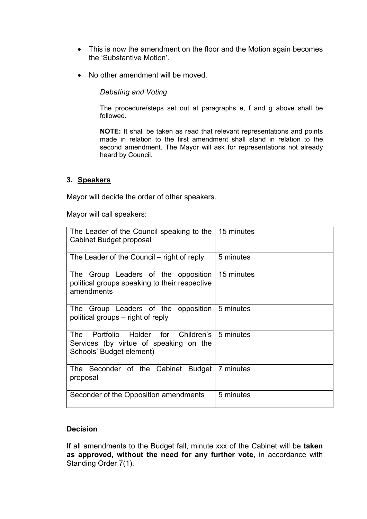- This is now the amendment on the floor and the Motion again becomes the 'Substantive Motion'.
- No other amendment will be moved.

*Debating and Voting* 

The procedure/steps set out at paragraphs e, f and g above shall be followed.

**NOTE:** It shall be taken as read that relevant representations and points made in relation to the first amendment shall stand in relation to the second amendment. The Mayor will ask for representations not already heard by Council.

## **3. Speakers**

Mayor will decide the order of other speakers.

Mayor will call speakers:

| The Leader of the Council speaking to the<br>Cabinet Budget proposal                                                     | 15 minutes |
|--------------------------------------------------------------------------------------------------------------------------|------------|
| The Leader of the Council – right of reply                                                                               | 5 minutes  |
| The Group Leaders of the opposition<br>political groups speaking to their respective<br>amendments                       | 15 minutes |
| The Group Leaders of the opposition<br>political groups – right of reply                                                 | 5 minutes  |
| Portfolio Holder for Children's 5 minutes<br>The l<br>Services (by virtue of speaking on the<br>Schools' Budget element) |            |
| The Seconder of the Cabinet Budget   7 minutes<br>proposal                                                               |            |
| Seconder of the Opposition amendments                                                                                    | 5 minutes  |

# **Decision**

If all amendments to the Budget fall, minute xxx of the Cabinet will be **taken as approved, without the need for any further vote**, in accordance with Standing Order 7(1).